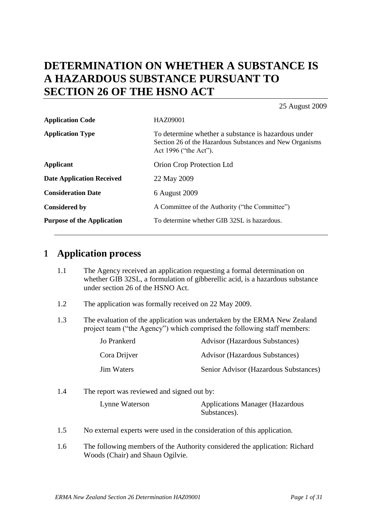# **DETERMINATION ON WHETHER A SUBSTANCE IS A HAZARDOUS SUBSTANCE PURSUANT TO SECTION 26 OF THE HSNO ACT**

25 August 2009

| <b>Application Code</b>           | HAZ09001                                                                                                                                 |  |
|-----------------------------------|------------------------------------------------------------------------------------------------------------------------------------------|--|
| <b>Application Type</b>           | To determine whether a substance is hazardous under<br>Section 26 of the Hazardous Substances and New Organisms<br>Act 1996 ("the Act"). |  |
| <b>Applicant</b>                  | Orion Crop Protection Ltd                                                                                                                |  |
| <b>Date Application Received</b>  | 22 May 2009                                                                                                                              |  |
| <b>Consideration Date</b>         | 6 August 2009                                                                                                                            |  |
| <b>Considered by</b>              | A Committee of the Authority ("the Committee")                                                                                           |  |
| <b>Purpose of the Application</b> | To determine whether GIB 32SL is hazardous.                                                                                              |  |

# **1 Application process**

- 1.1 The Agency received an application requesting a formal determination on whether GIB 32SL, a formulation of gibberellic acid, is a hazardous substance under section 26 of the HSNO Act.
- 1.2 The application was formally received on 22 May 2009.
- 1.3 The evaluation of the application was undertaken by the ERMA New Zealand project team ("the Agency") which comprised the following staff members:

| Jo Prankerd  | <b>Advisor (Hazardous Substances)</b> |
|--------------|---------------------------------------|
| Cora Drijver | <b>Advisor (Hazardous Substances)</b> |
| Jim Waters   | Senior Advisor (Hazardous Substances) |

- 1.4 The report was reviewed and signed out by: Lynne Waterson Applications Manager (Hazardous Substances).
- 1.5 No external experts were used in the consideration of this application.
- 1.6 The following members of the Authority considered the application: Richard Woods (Chair) and Shaun Ogilvie.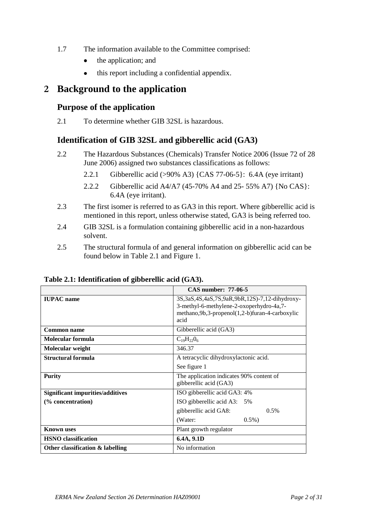- 1.7 The information available to the Committee comprised:
	- the application; and  $\bullet$
	- this report including a confidential appendix.  $\bullet$

# **2 Background to the application**

## **Purpose of the application**

2.1 To determine whether GIB 32SL is hazardous.

# **Identification of GIB 32SL and gibberellic acid (GA3)**

- 2.2 The Hazardous Substances (Chemicals) Transfer Notice 2006 (Issue 72 of 28 June 2006) assigned two substances classifications as follows:
	- 2.2.1 Gibberellic acid (>90% A3) {CAS 77-06-5}: 6.4A (eye irritant)
	- 2.2.2 Gibberellic acid A4/A7 (45-70% A4 and 25- 55% A7) {No CAS}: 6.4A (eye irritant).
- 2.3 The first isomer is referred to as GA3 in this report. Where gibberellic acid is mentioned in this report, unless otherwise stated, GA3 is being referred too.
- 2.4 GIB 32SL is a formulation containing gibberellic acid in a non-hazardous solvent.
- 2.5 The structural formula of and general information on gibberellic acid can be found below in Table 2.1 and Figure 1.

|                                         | <b>CAS number: 77-06-5</b>                                                                                                                                        |  |
|-----------------------------------------|-------------------------------------------------------------------------------------------------------------------------------------------------------------------|--|
| <b>IUPAC</b> name                       | 3S, 3aS, 4S, 4aS, 7S, 9aR, 9bR, 12S) - 7, 12-dihydroxy-<br>3-methyl-6-methylene-2-oxoperhydro-4a,7-<br>methano, 9b, 3-propenol(1, 2-b) furan-4-carboxylic<br>acid |  |
| <b>Common name</b>                      | Gibberellic acid (GA3)                                                                                                                                            |  |
| Molecular formula                       | $C_{19}H_{22}O_6$                                                                                                                                                 |  |
| Molecular weight                        | 346.37                                                                                                                                                            |  |
| Structural formula                      | A tetracyclic dihydroxylactonic acid.                                                                                                                             |  |
|                                         | See figure 1                                                                                                                                                      |  |
| <b>Purity</b>                           | The application indicates 90% content of<br>gibberellic acid (GA3)                                                                                                |  |
| <b>Significant impurities/additives</b> | ISO gibberellic acid GA3: 4%                                                                                                                                      |  |
| (% concentration)                       | ISO gibberellic acid A3: 5%                                                                                                                                       |  |
|                                         | gibberellic acid GA8:<br>$0.5\%$                                                                                                                                  |  |
|                                         | (Water:<br>$0.5\%$ )                                                                                                                                              |  |
| <b>Known</b> uses                       | Plant growth regulator                                                                                                                                            |  |
| <b>HSNO</b> classification              | 6.4A, 9.1D                                                                                                                                                        |  |
| Other classification & labelling        | No information                                                                                                                                                    |  |

### **Table 2.1: Identification of gibberellic acid (GA3).**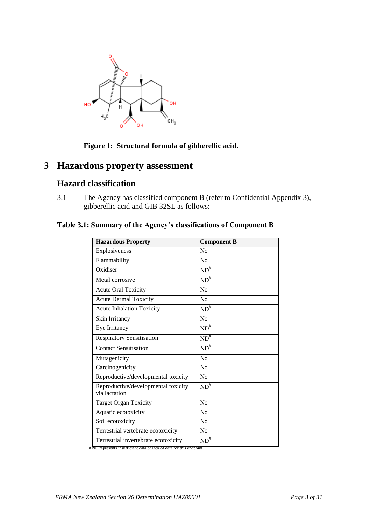

### **Figure 1: Structural formula of gibberellic acid.**

# **3 Hazardous property assessment**

## **Hazard classification**

3.1 The Agency has classified component B (refer to Confidential Appendix 3), gibberellic acid and GIB 32SL as follows:

### **Table 3.1: Summary of the Agency's classifications of Component B**

| <b>Hazardous Property</b>                            | <b>Component B</b>   |
|------------------------------------------------------|----------------------|
| Explosiveness                                        | N <sub>0</sub>       |
| Flammability                                         | No                   |
| Oxidiser                                             | $ND^{\overline{\#}}$ |
| Metal corrosive                                      | $ND^{\#}$            |
| <b>Acute Oral Toxicity</b>                           | No                   |
| <b>Acute Dermal Toxicity</b>                         | N <sub>0</sub>       |
| <b>Acute Inhalation Toxicity</b>                     | $ND^{\overline{*}}$  |
| Skin Irritancy                                       | No                   |
| Eye Irritancy                                        | $ND^*$               |
| <b>Respiratory Sensitisation</b>                     | $ND^{\#}$            |
| <b>Contact Sensitisation</b>                         | $ND^{\#}$            |
| Mutagenicity                                         | No                   |
| Carcinogenicity                                      | No                   |
| Reproductive/developmental toxicity                  | No                   |
| Reproductive/developmental toxicity<br>via lactation | $ND^{\overline{\#}}$ |
| <b>Target Organ Toxicity</b>                         | No                   |
| Aquatic ecotoxicity                                  | No                   |
| Soil ecotoxicity                                     | No                   |
| Terrestrial vertebrate ecotoxicity                   | No                   |
| Terrestrial invertebrate ecotoxicity                 | $ND^{\#}$            |

# ND represents insufficient data or lack of data for this endpoint.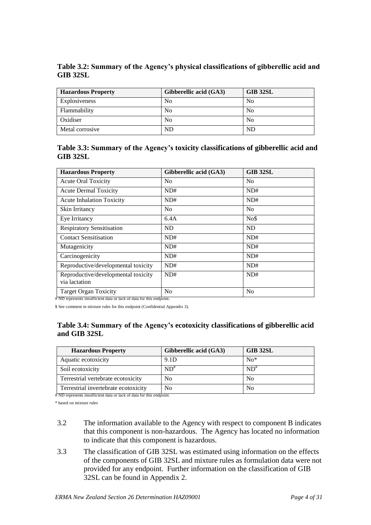**Table 3.2: Summary of the Agency's physical classifications of gibberellic acid and GIB 32SL**

| <b>Hazardous Property</b> | Gibberellic acid (GA3) | <b>GIB 32SL</b> |
|---------------------------|------------------------|-----------------|
| Explosiveness             | No                     | N <sub>0</sub>  |
| Flammability              | No                     | N <sub>0</sub>  |
| Oxidiser                  | No                     | N <sub>0</sub>  |
| Metal corrosive           | ND                     | ND              |

**Table 3.3: Summary of the Agency's toxicity classifications of gibberellic acid and GIB 32SL**

| <b>Hazardous Property</b>                                                                            | Gibberellic acid (GA3) | <b>GIB 32SL</b> |
|------------------------------------------------------------------------------------------------------|------------------------|-----------------|
| <b>Acute Oral Toxicity</b>                                                                           | N <sub>0</sub>         | N <sub>0</sub>  |
| <b>Acute Dermal Toxicity</b>                                                                         | ND#                    | ND#             |
| <b>Acute Inhalation Toxicity</b>                                                                     | ND#                    | ND#             |
| Skin Irritancy                                                                                       | N <sub>0</sub>         | N <sub>0</sub>  |
| Eye Irritancy                                                                                        | 6.4A                   | No\$            |
| <b>Respiratory Sensitisation</b>                                                                     | ND                     | <b>ND</b>       |
| <b>Contact Sensitisation</b>                                                                         | ND#                    | ND#             |
| Mutagenicity                                                                                         | ND#                    | ND#             |
| Carcinogenicity                                                                                      | ND#                    | ND#             |
| Reproductive/developmental toxicity                                                                  | ND#                    | ND#             |
| Reproductive/developmental toxicity<br>via lactation                                                 | ND#                    | ND#             |
| <b>Target Organ Toxicity</b><br># ND represents insufficient data or lack of data for this endpoint. | N <sub>0</sub>         | N <sub>0</sub>  |

\$ See comment in mixture rules for this endpoint (Confidential Appendix 3).

### **Table 3.4: Summary of the Agency's ecotoxicity classifications of gibberellic acid and GIB 32SL**

| <b>Hazardous Property</b>            | Gibberellic acid (GA3) | GIB 32SL       |
|--------------------------------------|------------------------|----------------|
| Aquatic ecotoxicity                  | 9.1D                   | $No*$          |
| Soil ecotoxicity                     | $ND^*$                 | $ND^*$         |
| Terrestrial vertebrate ecotoxicity   | No                     | N <sub>0</sub> |
| Terrestrial invertebrate ecotoxicity | No                     | No             |

# ND represents insufficient data or lack of data for this endpoint.

\* based on mixture rules

- 3.2 The information available to the Agency with respect to component B indicates that this component is non-hazardous. The Agency has located no information to indicate that this component is hazardous.
- 3.3 The classification of GIB 32SL was estimated using information on the effects of the components of GIB 32SL and mixture rules as formulation data were not provided for any endpoint. Further information on the classification of GIB 32SL can be found in Appendix 2.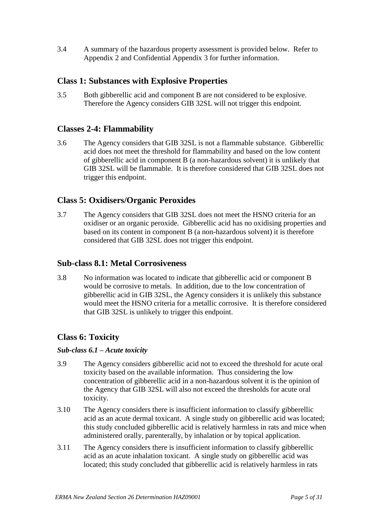3.4 A summary of the hazardous property assessment is provided below. Refer to Appendix 2 and Confidential Appendix 3 for further information.

### **Class 1: Substances with Explosive Properties**

3.5 Both gibberellic acid and component B are not considered to be explosive. Therefore the Agency considers GIB 32SL will not trigger this endpoint.

### **Classes 2-4: Flammability**

3.6 The Agency considers that GIB 32SL is not a flammable substance. Gibberellic acid does not meet the threshold for flammability and based on the low content of gibberellic acid in component B (a non-hazardous solvent) it is unlikely that GIB 32SL will be flammable. It is therefore considered that GIB 32SL does not trigger this endpoint.

### **Class 5: Oxidisers/Organic Peroxides**

3.7 The Agency considers that GIB 32SL does not meet the HSNO criteria for an oxidiser or an organic peroxide. Gibberellic acid has no oxidising properties and based on its content in component B (a non-hazardous solvent) it is therefore considered that GIB 32SL does not trigger this endpoint.

### **Sub-class 8.1: Metal Corrosiveness**

3.8 No information was located to indicate that gibberellic acid or component B would be corrosive to metals. In addition, due to the low concentration of gibberellic acid in GIB 32SL, the Agency considers it is unlikely this substance would meet the HSNO criteria for a metallic corrosive. It is therefore considered that GIB 32SL is unlikely to trigger this endpoint.

### **Class 6: Toxicity**

### *Sub-class 6.1 – Acute toxicity*

- 3.9 The Agency considers gibberellic acid not to exceed the threshold for acute oral toxicity based on the available information. Thus considering the low concentration of gibberellic acid in a non-hazardous solvent it is the opinion of the Agency that GIB 32SL will also not exceed the thresholds for acute oral toxicity.
- 3.10 The Agency considers there is insufficient information to classify gibberellic acid as an acute dermal toxicant. A single study on gibberellic acid was located; this study concluded gibberellic acid is relatively harmless in rats and mice when administered orally, parenterally, by inhalation or by topical application.
- 3.11 The Agency considers there is insufficient information to classify gibberellic acid as an acute inhalation toxicant. A single study on gibberellic acid was located; this study concluded that gibberellic acid is relatively harmless in rats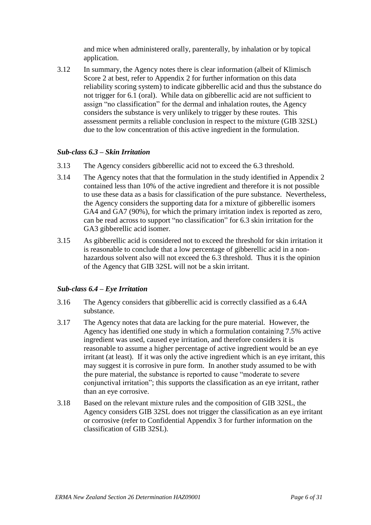and mice when administered orally, parenterally, by inhalation or by topical application.

3.12 In summary, the Agency notes there is clear information (albeit of Klimisch Score 2 at best, refer to Appendix 2 for further information on this data reliability scoring system) to indicate gibberellic acid and thus the substance do not trigger for 6.1 (oral). While data on gibberellic acid are not sufficient to assign "no classification" for the dermal and inhalation routes, the Agency considers the substance is very unlikely to trigger by these routes. This assessment permits a reliable conclusion in respect to the mixture (GIB 32SL) due to the low concentration of this active ingredient in the formulation.

### *Sub-class 6.3 – Skin Irritation*

- 3.13 The Agency considers gibberellic acid not to exceed the 6.3 threshold.
- 3.14 The Agency notes that that the formulation in the study identified in Appendix 2 contained less than 10% of the active ingredient and therefore it is not possible to use these data as a basis for classification of the pure substance. Nevertheless, the Agency considers the supporting data for a mixture of gibberellic isomers GA4 and GA7 (90%), for which the primary irritation index is reported as zero, can be read across to support "no classification" for 6.3 skin irritation for the GA3 gibberellic acid isomer.
- 3.15 As gibberellic acid is considered not to exceed the threshold for skin irritation it is reasonable to conclude that a low percentage of gibberellic acid in a nonhazardous solvent also will not exceed the 6.3 threshold. Thus it is the opinion of the Agency that GIB 32SL will not be a skin irritant.

### *Sub-class 6.4 – Eye Irritation*

- 3.16 The Agency considers that gibberellic acid is correctly classified as a 6.4A substance.
- 3.17 The Agency notes that data are lacking for the pure material. However, the Agency has identified one study in which a formulation containing 7.5% active ingredient was used, caused eye irritation, and therefore considers it is reasonable to assume a higher percentage of active ingredient would be an eye irritant (at least). If it was only the active ingredient which is an eye irritant, this may suggest it is corrosive in pure form. In another study assumed to be with the pure material, the substance is reported to cause "moderate to severe conjunctival irritation"; this supports the classification as an eye irritant, rather than an eye corrosive.
- 3.18 Based on the relevant mixture rules and the composition of GIB 32SL, the Agency considers GIB 32SL does not trigger the classification as an eye irritant or corrosive (refer to Confidential Appendix 3 for further information on the classification of GIB 32SL).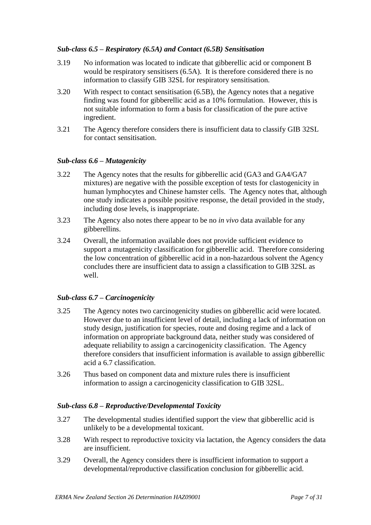### *Sub-class 6.5 – Respiratory (6.5A) and Contact (6.5B) Sensitisation*

- 3.19 No information was located to indicate that gibberellic acid or component B would be respiratory sensitisers (6.5A). It is therefore considered there is no information to classify GIB 32SL for respiratory sensitisation.
- 3.20 With respect to contact sensitisation (6.5B), the Agency notes that a negative finding was found for gibberellic acid as a 10% formulation. However, this is not suitable information to form a basis for classification of the pure active ingredient.
- 3.21 The Agency therefore considers there is insufficient data to classify GIB 32SL for contact sensitisation.

### *Sub-class 6.6 – Mutagenicity*

- 3.22 The Agency notes that the results for gibberellic acid (GA3 and GA4/GA7 mixtures) are negative with the possible exception of tests for clastogenicity in human lymphocytes and Chinese hamster cells. The Agency notes that, although one study indicates a possible positive response, the detail provided in the study, including dose levels, is inappropriate.
- 3.23 The Agency also notes there appear to be no *in vivo* data available for any gibberellins.
- 3.24 Overall, the information available does not provide sufficient evidence to support a mutagenicity classification for gibberellic acid. Therefore considering the low concentration of gibberellic acid in a non-hazardous solvent the Agency concludes there are insufficient data to assign a classification to GIB 32SL as well.

### *Sub-class 6.7 – Carcinogenicity*

- 3.25 The Agency notes two carcinogenicity studies on gibberellic acid were located. However due to an insufficient level of detail, including a lack of information on study design, justification for species, route and dosing regime and a lack of information on appropriate background data, neither study was considered of adequate reliability to assign a carcinogenicity classification. The Agency therefore considers that insufficient information is available to assign gibberellic acid a 6.7 classification.
- 3.26 Thus based on component data and mixture rules there is insufficient information to assign a carcinogenicity classification to GIB 32SL.

### *Sub-class 6.8 – Reproductive/Developmental Toxicity*

- 3.27 The developmental studies identified support the view that gibberellic acid is unlikely to be a developmental toxicant.
- 3.28 With respect to reproductive toxicity via lactation, the Agency considers the data are insufficient.
- 3.29 Overall, the Agency considers there is insufficient information to support a developmental/reproductive classification conclusion for gibberellic acid.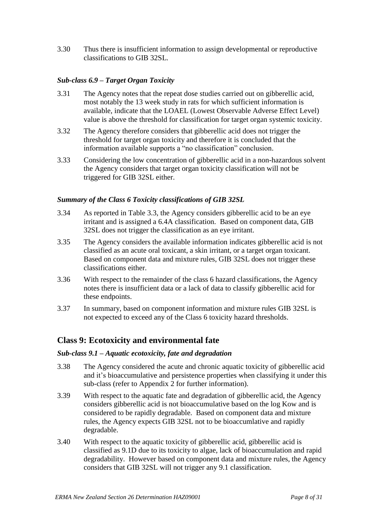3.30 Thus there is insufficient information to assign developmental or reproductive classifications to GIB 32SL.

### *Sub-class 6.9 – Target Organ Toxicity*

- 3.31 The Agency notes that the repeat dose studies carried out on gibberellic acid, most notably the 13 week study in rats for which sufficient information is available, indicate that the LOAEL (Lowest Observable Adverse Effect Level) value is above the threshold for classification for target organ systemic toxicity.
- 3.32 The Agency therefore considers that gibberellic acid does not trigger the threshold for target organ toxicity and therefore it is concluded that the information available supports a "no classification" conclusion.
- 3.33 Considering the low concentration of gibberellic acid in a non-hazardous solvent the Agency considers that target organ toxicity classification will not be triggered for GIB 32SL either.

### *Summary of the Class 6 Toxicity classifications of GIB 32SL*

- 3.34 As reported in Table 3.3, the Agency considers gibberellic acid to be an eye irritant and is assigned a 6.4A classification. Based on component data, GIB 32SL does not trigger the classification as an eye irritant.
- 3.35 The Agency considers the available information indicates gibberellic acid is not classified as an acute oral toxicant, a skin irritant, or a target organ toxicant. Based on component data and mixture rules, GIB 32SL does not trigger these classifications either.
- 3.36 With respect to the remainder of the class 6 hazard classifications, the Agency notes there is insufficient data or a lack of data to classify gibberellic acid for these endpoints.
- 3.37 In summary, based on component information and mixture rules GIB 32SL is not expected to exceed any of the Class 6 toxicity hazard thresholds.

### **Class 9: Ecotoxicity and environmental fate**

#### *Sub-class 9.1 – Aquatic ecotoxicity, fate and degradation*

- 3.38 The Agency considered the acute and chronic aquatic toxicity of gibberellic acid and it's bioaccumulative and persistence properties when classifying it under this sub-class (refer to Appendix 2 for further information).
- 3.39 With respect to the aquatic fate and degradation of gibberellic acid, the Agency considers gibberellic acid is not bioaccumulative based on the log Kow and is considered to be rapidly degradable. Based on component data and mixture rules, the Agency expects GIB 32SL not to be bioaccumlative and rapidly degradable.
- 3.40 With respect to the aquatic toxicity of gibberellic acid, gibberellic acid is classified as 9.1D due to its toxicity to algae, lack of bioaccumulation and rapid degradability. However based on component data and mixture rules, the Agency considers that GIB 32SL will not trigger any 9.1 classification.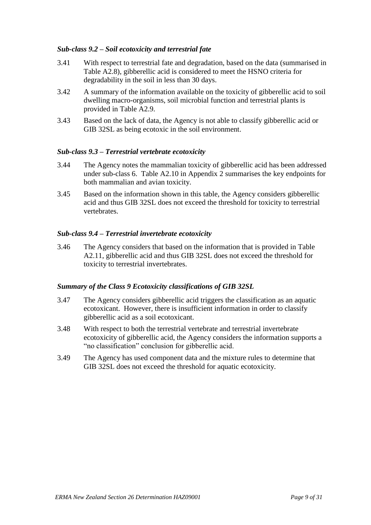### *Sub-class 9.2 – Soil ecotoxicity and terrestrial fate*

- 3.41 With respect to terrestrial fate and degradation, based on the data (summarised in Table A2.8), gibberellic acid is considered to meet the HSNO criteria for degradability in the soil in less than 30 days.
- 3.42 A summary of the information available on the toxicity of gibberellic acid to soil dwelling macro-organisms, soil microbial function and terrestrial plants is provided in Table A2.9.
- 3.43 Based on the lack of data, the Agency is not able to classify gibberellic acid or GIB 32SL as being ecotoxic in the soil environment.

### *Sub-class 9.3 – Terrestrial vertebrate ecotoxicity*

- 3.44 The Agency notes the mammalian toxicity of gibberellic acid has been addressed under sub-class 6. Table A2.10 in Appendix 2 summarises the key endpoints for both mammalian and avian toxicity.
- 3.45 Based on the information shown in this table, the Agency considers gibberellic acid and thus GIB 32SL does not exceed the threshold for toxicity to terrestrial vertebrates.

#### *Sub-class 9.4 – Terrestrial invertebrate ecotoxicity*

3.46 The Agency considers that based on the information that is provided in Table A2.11, gibberellic acid and thus GIB 32SL does not exceed the threshold for toxicity to terrestrial invertebrates.

### *Summary of the Class 9 Ecotoxicity classifications of GIB 32SL*

- 3.47 The Agency considers gibberellic acid triggers the classification as an aquatic ecotoxicant. However, there is insufficient information in order to classify gibberellic acid as a soil ecotoxicant.
- 3.48 With respect to both the terrestrial vertebrate and terrestrial invertebrate ecotoxicity of gibberellic acid, the Agency considers the information supports a "no classification" conclusion for gibberellic acid.
- 3.49 The Agency has used component data and the mixture rules to determine that GIB 32SL does not exceed the threshold for aquatic ecotoxicity.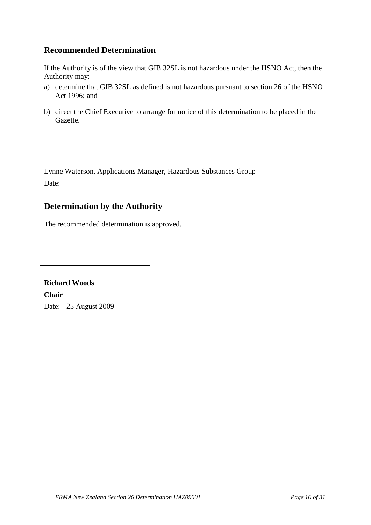# **Recommended Determination**

If the Authority is of the view that GIB 32SL is not hazardous under the HSNO Act, then the Authority may:

- a) determine that GIB 32SL as defined is not hazardous pursuant to section 26 of the HSNO Act 1996; and
- b) direct the Chief Executive to arrange for notice of this determination to be placed in the Gazette.

Lynne Waterson, Applications Manager, Hazardous Substances Group Date:

# **Determination by the Authority**

The recommended determination is approved.

**Richard Woods Chair** Date: 25 August 2009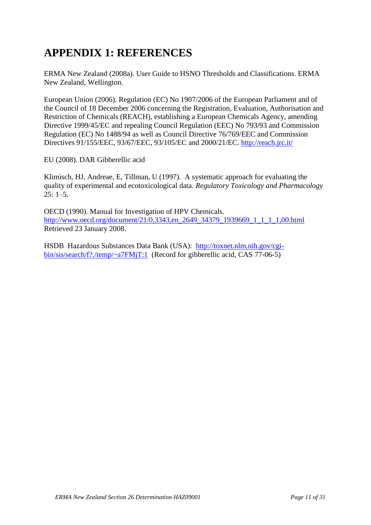# **APPENDIX 1: REFERENCES**

ERMA New Zealand (2008a). User Guide to HSNO Thresholds and Classifications. ERMA New Zealand, Wellington.

European Union (2006). Regulation (EC) No 1907/2006 of the European Parliament and of the Council of 18 December 2006 concerning the Registration, Evaluation, Authorisation and Restriction of Chemicals (REACH), establishing a European Chemicals Agency, amending Directive 1999/45/EC and repealing Council Regulation (EEC) No 793/93 and Commission Regulation (EC) No 1488/94 as well as Council Directive 76/769/EEC and Commission Directives 91/155/EEC, 93/67/EEC, 93/105/EC and 2000/21/EC.<http://reach.jrc.it/>

EU (2008). DAR Gibberellic acid

Klimisch, HJ, Andreae, E, Tillman, U (1997). A systematic approach for evaluating the quality of experimental and ecotoxicological data. *Regulatory Toxicology and Pharmacology*  $25: 1-5.$ 

OECD (1990). Manual for Investigation of HPV Chemicals. [http://www.oecd.org/document/21/0,3343,en\\_2649\\_34379\\_1939669\\_1\\_1\\_1\\_1,00.html](http://www.oecd.org/document/21/0,3343,en_2649_34379_1939669_1_1_1_1,00.html) Retrieved 23 January 2008.

HSDB Hazardous Substances Data Bank (USA): [http://toxnet.nlm.nih.gov/cgi](http://toxnet.nlm.nih.gov/cgi-bin/sis/search/f?./temp/~a7FMjT:1)[bin/sis/search/f?./temp/~a7FMjT:1](http://toxnet.nlm.nih.gov/cgi-bin/sis/search/f?./temp/~a7FMjT:1) (Record for gibberellic acid, CAS 77-06-5)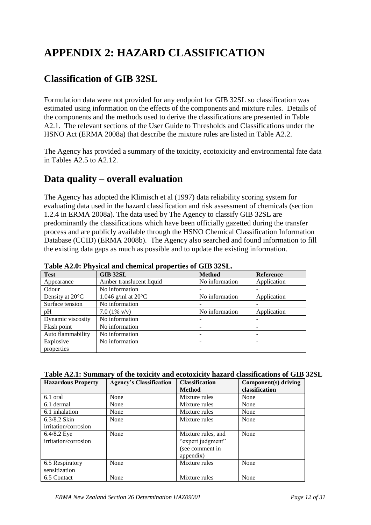# **APPENDIX 2: HAZARD CLASSIFICATION**

# **Classification of GIB 32SL**

Formulation data were not provided for any endpoint for GIB 32SL so classification was estimated using information on the effects of the components and mixture rules. Details of the components and the methods used to derive the classifications are presented in Table A2.1. The relevant sections of the User Guide to Thresholds and Classifications under the HSNO Act (ERMA 2008a) that describe the mixture rules are listed in Table A2.2.

The Agency has provided a summary of the toxicity, ecotoxicity and environmental fate data in Tables A2.5 to A2.12.

# **Data quality – overall evaluation**

The Agency has adopted the Klimisch et al (1997) data reliability scoring system for evaluating data used in the hazard classification and risk assessment of chemicals (section 1.2.4 in ERMA 2008a). The data used by The Agency to classify GIB 32SL are predominantly the classifications which have been officially gazetted during the transfer process and are publicly available through the HSNO Chemical Classification Information Database (CCID) (ERMA 2008b). The Agency also searched and found information to fill the existing data gaps as much as possible and to update the existing information.

| Table Amo, I hypical and chemical properties of GTD short. |                              |                |                  |
|------------------------------------------------------------|------------------------------|----------------|------------------|
| <b>Test</b>                                                | <b>GIB 32SL</b>              | <b>Method</b>  | <b>Reference</b> |
| Appearance                                                 | Amber translucent liquid     | No information | Application      |
| Odour                                                      | No information               |                |                  |
| Density at $20^{\circ}$ C                                  | 1.046 g/ml at $20^{\circ}$ C | No information | Application      |
| Surface tension                                            | No information               |                |                  |
| pH                                                         | 7.0 $(1\% \text{ V/v})$      | No information | Application      |
| Dynamic viscosity                                          | No information               |                |                  |
| Flash point                                                | No information               |                |                  |
| Auto flammability                                          | No information               |                |                  |
| Explosive                                                  | No information               |                |                  |
| properties                                                 |                              |                |                  |

**Table A2.0: Physical and chemical properties of GIB 32SL.**

| Table A2.1: Summary of the toxicity and ecotoxicity hazard classifications of GIB 32SL |  |  |  |  |  |
|----------------------------------------------------------------------------------------|--|--|--|--|--|
|----------------------------------------------------------------------------------------|--|--|--|--|--|

| <b>Hazardous Property</b> | <b>Agency's Classification</b> | <b>Classification</b> | Component(s) driving |
|---------------------------|--------------------------------|-----------------------|----------------------|
|                           |                                | <b>Method</b>         | classification       |
| 6.1 oral                  | None                           | Mixture rules         | None                 |
| 6.1 dermal                | None                           | Mixture rules         | None                 |
| 6.1 inhalation            | None                           | Mixture rules         | None                 |
| $6.3/8.2$ Skin            | None                           | Mixture rules         | None                 |
| irritation/corrosion      |                                |                       |                      |
| $6.4/8.2$ Eye             | None                           | Mixture rules, and    | None                 |
| irritation/corrosion      |                                | "expert judgment"     |                      |
|                           |                                | (see comment in       |                      |
|                           |                                | appendix)             |                      |
| 6.5 Respiratory           | None                           | Mixture rules         | None                 |
| sensitization             |                                |                       |                      |
| 6.5 Contact               | None                           | Mixture rules         | None                 |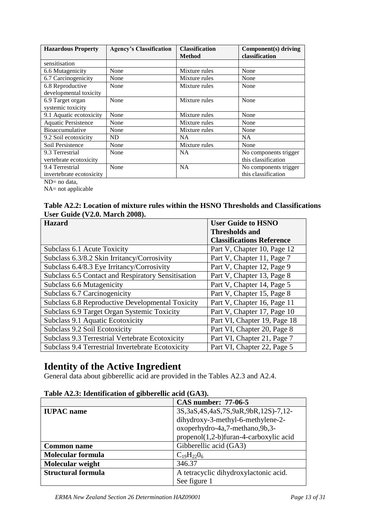| <b>Hazardous Property</b>  | <b>Agency's Classification</b> | <b>Classification</b> | Component(s) driving  |
|----------------------------|--------------------------------|-----------------------|-----------------------|
|                            |                                | <b>Method</b>         | classification        |
| sensitisation              |                                |                       |                       |
| 6.6 Mutagenicity           | None                           | Mixture rules         | None                  |
| 6.7 Carcinogenicity        | None                           | Mixture rules         | None                  |
| 6.8 Reproductive           | None                           | Mixture rules         | None                  |
| developmental toxicity     |                                |                       |                       |
| 6.9 Target organ           | None                           | Mixture rules         | None                  |
| systemic toxicity          |                                |                       |                       |
| 9.1 Aquatic ecotoxicity    | None                           | Mixture rules         | None                  |
| <b>Aquatic Persistence</b> | None                           | Mixture rules         | None                  |
| <b>Bioaccumulative</b>     | None                           | Mixture rules         | None                  |
| 9.2 Soil ecotoxicity       | ND                             | NA                    | NA.                   |
| Soil Persistence           | None                           | Mixture rules         | None                  |
| 9.3 Terrestrial            | None                           | NA.                   | No components trigger |
| vertebrate ecotoxicity     |                                |                       | this classification   |
| 9.4 Terrestrial            | None                           | NA                    | No components trigger |
| invertebrate ecotoxicity   |                                |                       | this classification   |

ND= no data,

NA= not applicable

### **Table A2.2: Location of mixture rules within the HSNO Thresholds and Classifications User Guide (V2.0. March 2008).**

| <b>Hazard</b>                                            | <b>User Guide to HSNO</b>        |
|----------------------------------------------------------|----------------------------------|
|                                                          | <b>Thresholds and</b>            |
|                                                          | <b>Classifications Reference</b> |
| Subclass 6.1 Acute Toxicity                              | Part V, Chapter 10, Page 12      |
| Subclass 6.3/8.2 Skin Irritancy/Corrosivity              | Part V, Chapter 11, Page 7       |
| Subclass 6.4/8.3 Eye Irritancy/Corrosivity               | Part V, Chapter 12, Page 9       |
| Subclass 6.5 Contact and Respiratory Sensitisation       | Part V, Chapter 13, Page 8       |
| Subclass 6.6 Mutagenicity                                | Part V, Chapter 14, Page 5       |
| Subclass 6.7 Carcinogenicity                             | Part V, Chapter 15, Page 8       |
| Subclass 6.8 Reproductive Developmental Toxicity         | Part V, Chapter 16, Page 11      |
| Subclass 6.9 Target Organ Systemic Toxicity              | Part V, Chapter 17, Page 10      |
| Subclass 9.1 Aquatic Ecotoxicity                         | Part VI, Chapter 19, Page 18     |
| Subclass 9.2 Soil Ecotoxicity                            | Part VI, Chapter 20, Page 8      |
| Subclass 9.3 Terrestrial Vertebrate Ecotoxicity          | Part VI, Chapter 21, Page 7      |
| <b>Subclass 9.4 Terrestrial Invertebrate Ecotoxicity</b> | Part VI, Chapter 22, Page 5      |

# **Identity of the Active Ingredient**

General data about gibberellic acid are provided in the Tables A2.3 and A2.4.

|                                                                    | <b>CAS number: 77-06-5</b>             |  |  |
|--------------------------------------------------------------------|----------------------------------------|--|--|
| 3S, 3aS, 4S, 4aS, 7S, 9aR, 9bR, 12S) - 7, 12-<br><b>IUPAC</b> name |                                        |  |  |
|                                                                    | dihydroxy-3-methyl-6-methylene-2-      |  |  |
|                                                                    | oxoperhydro-4a,7-methano,9b,3-         |  |  |
|                                                                    | propenol(1,2-b)furan-4-carboxylic acid |  |  |
| <b>Common name</b>                                                 | Gibberellic acid (GA3)                 |  |  |
| <b>Molecular formula</b>                                           | $C_{19}H_{22}O_6$                      |  |  |
| Molecular weight                                                   | 346.37                                 |  |  |
| <b>Structural formula</b>                                          | A tetracyclic dihydroxylactonic acid.  |  |  |
|                                                                    | See figure 1                           |  |  |

### **Table A2.3: Identification of gibberellic acid (GA3).**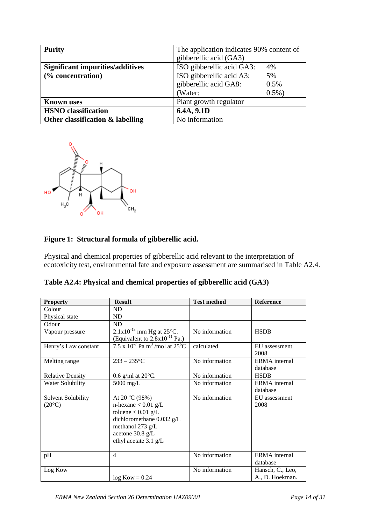| <b>Purity</b>                           | The application indicates 90% content of |           |
|-----------------------------------------|------------------------------------------|-----------|
|                                         | gibberellic acid (GA3)                   |           |
| <b>Significant impurities/additives</b> | ISO gibberellic acid GA3:<br>4%          |           |
| (% concentration)                       | ISO gibberellic acid A3:<br>5%           |           |
|                                         | gibberellic acid GA8:                    | 0.5%      |
|                                         | (Water:                                  | $0.5\%$ ) |
| <b>Known</b> uses                       | Plant growth regulator                   |           |
| <b>HSNO</b> classification              | 6.4A, 9.1D                               |           |
| Other classification & labelling        | No information                           |           |



## **Figure 1: Structural formula of gibberellic acid.**

Physical and chemical properties of gibberellic acid relevant to the interpretation of ecotoxicity test, environmental fate and exposure assessment are summarised in Table A2.4.

**Table A2.4: Physical and chemical properties of gibberellic acid (GA3)**

| <b>Property</b>                       | <b>Result</b>                                                                                                                                                           | <b>Test method</b> | <b>Reference</b>                    |
|---------------------------------------|-------------------------------------------------------------------------------------------------------------------------------------------------------------------------|--------------------|-------------------------------------|
| Colour                                | ND                                                                                                                                                                      |                    |                                     |
| Physical state                        | ND                                                                                                                                                                      |                    |                                     |
| Odour                                 | ND                                                                                                                                                                      |                    |                                     |
| Vapour pressure                       | $2.1x10^{-13}$ mm Hg at 25°C.<br>(Equivalent to $2.8x10^{-11}$ Pa.)                                                                                                     | No information     | <b>HSDB</b>                         |
| Henry's Law constant                  | $7.5 \times 10^{-7}$ Pa m <sup>3</sup> /mol at 25 <sup>o</sup> C                                                                                                        | calculated         | EU assessment<br>2008               |
| Melting range                         | $233 - 235$ °C                                                                                                                                                          | No information     | <b>ERMA</b> internal<br>database    |
| <b>Relative Density</b>               | 0.6 g/ml at $20^{\circ}$ C.                                                                                                                                             | No information     | <b>HSDB</b>                         |
| Water Solubility                      | $5000$ mg/L                                                                                                                                                             | No information     | <b>ERMA</b> internal<br>database    |
| Solvent Solubility<br>$(20^{\circ}C)$ | At 20 $^{\circ}$ C (98%)<br>n-hexane $< 0.01$ g/L<br>toluene $< 0.01$ g/L<br>dichloromethane 0.032 g/L<br>methanol 273 g/L<br>acetone 30.8 g/L<br>ethyl acetate 3.1 g/L | No information     | EU assessment<br>2008               |
| pH                                    | $\overline{4}$                                                                                                                                                          | No information     | <b>ERMA</b> internal<br>database    |
| Log Kow                               | $log Kow = 0.24$                                                                                                                                                        | No information     | Hansch, C., Leo,<br>A., D. Hoekman. |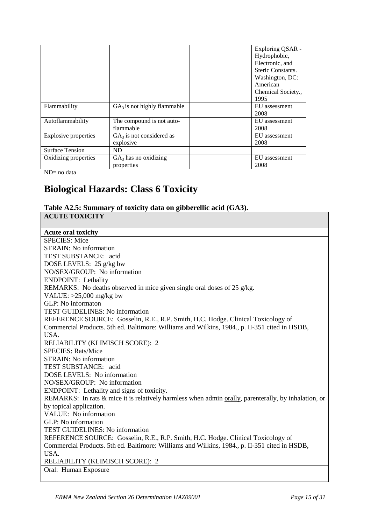|                        |                                         | Exploring QSAR -<br>Hydrophobic,<br>Electronic, and<br>Steric Constants.<br>Washington, DC:<br>American<br>Chemical Society.,<br>1995 |  |
|------------------------|-----------------------------------------|---------------------------------------------------------------------------------------------------------------------------------------|--|
| Flammability           | $GA_3$ is not highly flammable          | EU assessment<br>2008                                                                                                                 |  |
| Autoflammability       | The compound is not auto-<br>flammable  | EU assessment<br>2008                                                                                                                 |  |
| Explosive properties   | $GA3$ is not considered as<br>explosive | EU assessment<br>2008                                                                                                                 |  |
| <b>Surface Tension</b> | ND.                                     |                                                                                                                                       |  |
| Oxidizing properties   | $GA3$ has no oxidizing<br>properties    | EU assessment<br>2008                                                                                                                 |  |

 $ND=$  no data

# **Biological Hazards: Class 6 Toxicity**

#### **Table A2.5: Summary of toxicity data on gibberellic acid (GA3). ACUTE TOXICITY**

| <b>Acute oral toxicity</b>               |
|------------------------------------------|
| <b>SPECIES:</b> Mice                     |
| STRAIN: No information                   |
| TEST SUBSTANCE: acid                     |
| DOSE I EVEL S: $25 \sigma/k_{\Omega}$ by |

DOSE LEVELS: 25 g/kg bw NO/SEX/GROUP: No information ENDPOINT: Lethality REMARKS: No deaths observed in mice given single oral doses of 25 g/kg. VALUE: >25,000 mg/kg bw GLP: No informaton TEST GUIDELINES: No information REFERENCE SOURCE: Gosselin, R.E., R.P. Smith, H.C. Hodge. Clinical Toxicology of Commercial Products. 5th ed. Baltimore: Williams and Wilkins, 1984., p. II-351 cited in HSDB, USA. RELIABILITY (KLIMISCH SCORE): 2 SPECIES: Rats/Mice STRAIN: No information TEST SUBSTANCE: acid DOSE LEVELS: No information NO/SEX/GROUP: No information ENDPOINT: Lethality and signs of toxicity. REMARKS: In rats & mice it is relatively harmless when admin orally, parenterally, by inhalation, or by topical application. VALUE: No information GLP: No information TEST GUIDELINES: No information REFERENCE SOURCE: Gosselin, R.E., R.P. Smith, H.C. Hodge. Clinical Toxicology of Commercial Products. 5th ed. Baltimore: Williams and Wilkins, 1984., p. II-351 cited in HSDB, USA. RELIABILITY (KLIMISCH SCORE): 2 Oral: Human Exposure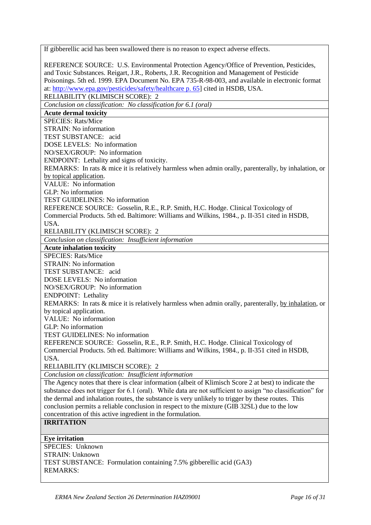If gibberellic acid has been swallowed there is no reason to expect adverse effects. REFERENCE SOURCE: U.S. Environmental Protection Agency/Office of Prevention, Pesticides, and Toxic Substances. Reigart, J.R., Roberts, J.R. Recognition and Management of Pesticide Poisonings. 5th ed. 1999. EPA Document No. EPA 735-R-98-003, and available in electronic format at: [http://www.epa.gov/pesticides/safety/healthcare p. 65\]](http://www.epa.gov/pesticides/safety/healthcare%20p.%2065) cited in HSDB, USA. RELIABILITY (KLIMISCH SCORE): 2 *Conclusion on classification: No classification for 6.1 (oral)* **Acute dermal toxicity** SPECIES: Rats/Mice STRAIN: No information TEST SUBSTANCE: acid DOSE LEVELS: No information NO/SEX/GROUP: No information ENDPOINT: Lethality and signs of toxicity. REMARKS: In rats & mice it is relatively harmless when admin orally, parenterally, by inhalation, or by topical application. VALUE: No information GLP: No information TEST GUIDELINES: No information REFERENCE SOURCE: Gosselin, R.E., R.P. Smith, H.C. Hodge. Clinical Toxicology of Commercial Products. 5th ed. Baltimore: Williams and Wilkins, 1984., p. II-351 cited in HSDB, USA. RELIABILITY (KLIMISCH SCORE): 2 *Conclusion on classification: Insufficient information* **Acute inhalation toxicity** SPECIES: Rats/Mice STRAIN: No information TEST SUBSTANCE: acid DOSE LEVELS: No information NO/SEX/GROUP: No information ENDPOINT: Lethality REMARKS: In rats & mice it is relatively harmless when admin orally, parenterally, by inhalation, or by topical application. VALUE: No information GLP: No information TEST GUIDELINES: No information REFERENCE SOURCE: Gosselin, R.E., R.P. Smith, H.C. Hodge. Clinical Toxicology of Commercial Products. 5th ed. Baltimore: Williams and Wilkins, 1984., p. II-351 cited in HSDB, USA. RELIABILITY (KLIMISCH SCORE): 2 *Conclusion on classification: Insufficient information* The Agency notes that there is clear information (albeit of Klimisch Score 2 at best) to indicate the substance does not trigger for 6.1 (oral). While data are not sufficient to assign "no classification" for the dermal and inhalation routes, the substance is very unlikely to trigger by these routes. This conclusion permits a reliable conclusion in respect to the mixture (GIB 32SL) due to the low concentration of this active ingredient in the formulation. **IRRITATION Eye irritation** SPECIES: Unknown STRAIN: Unknown TEST SUBSTANCE: Formulation containing 7.5% gibberellic acid (GA3) REMARKS: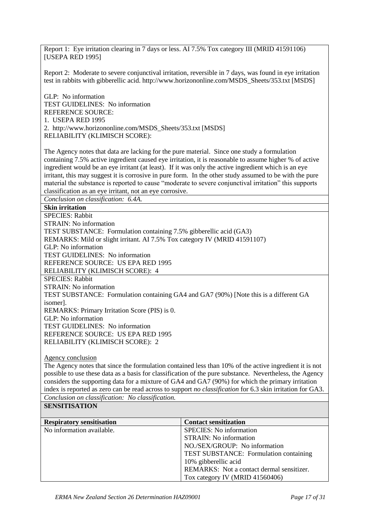Report 1: Eye irritation clearing in 7 days or less. AI 7.5% Tox category III (MRID 41591106) [USEPA RED 1995]

Report 2: Moderate to severe conjunctival irritation, reversible in 7 days, was found in eye irritation test in rabbits with gibberellic acid. http://www.horizononline.com/MSDS\_Sheets/353.txt [MSDS]

GLP: No information TEST GUIDELINES: No information REFERENCE SOURCE: 1. USEPA RED 1995 2. http://www.horizononline.com/MSDS\_Sheets/353.txt [MSDS] RELIABILITY (KLIMISCH SCORE):

The Agency notes that data are lacking for the pure material. Since one study a formulation containing 7.5% active ingredient caused eye irritation, it is reasonable to assume higher % of active ingredient would be an eye irritant (at least). If it was only the active ingredient which is an eye irritant, this may suggest it is corrosive in pure form. In the other study assumed to be with the pure material the substance is reported to cause "moderate to severe conjunctival irritation" this supports classification as an eye irritant, not an eye corrosive.

*Conclusion on classification: 6.4A.*

**Skin irritation**

SPECIES: Rabbit STRAIN: No information TEST SUBSTANCE: Formulation containing 7.5% gibberellic acid (GA3) REMARKS: Mild or slight irritant. AI 7.5% Tox category IV (MRID 41591107) GLP: No information TEST GUIDELINES: No information REFERENCE SOURCE: US EPA RED 1995 RELIABILITY (KLIMISCH SCORE): 4 SPECIES: Rabbit STRAIN: No information TEST SUBSTANCE: Formulation containing GA4 and GA7 (90%) [Note this is a different GA isomer]. REMARKS: Primary Irritation Score (PIS) is 0. GLP: No information TEST GUIDELINES: No information REFERENCE SOURCE: US EPA RED 1995 RELIABILITY (KLIMISCH SCORE): 2

Agency conclusion

The Agency notes that since the formulation contained less than 10% of the active ingredient it is not possible to use these data as a basis for classification of the pure substance. Nevertheless, the Agency considers the supporting data for a mixture of GA4 and GA7 (90%) for which the primary irritation index is reported as zero can be read across to support *no classification* for 6.3 skin irritation for GA3. *Conclusion on classification: No classification.*

#### **SENSITISATION**

| <b>Respiratory sensitisation</b> | <b>Contact sensitization</b>              |
|----------------------------------|-------------------------------------------|
| No information available.        | <b>SPECIES:</b> No information            |
|                                  | <b>STRAIN:</b> No information             |
|                                  | NO./SEX/GROUP: No information             |
|                                  | TEST SUBSTANCE: Formulation containing    |
|                                  | 10% gibberellic acid                      |
|                                  | REMARKS: Not a contact dermal sensitizer. |
|                                  | Tox category IV (MRID 41560406)           |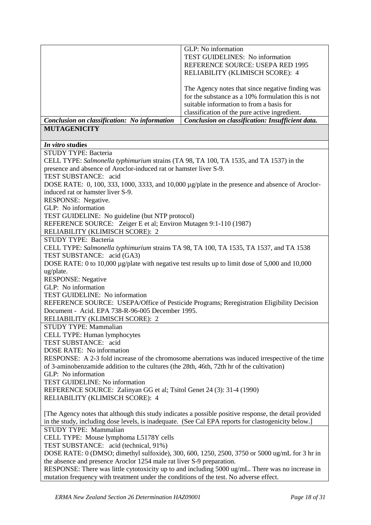|                                              | GLP: No information<br>TEST GUIDELINES: No information<br>REFERENCE SOURCE: USEPA RED 1995<br>RELIABILITY (KLIMISCH SCORE): 4                                                                       |
|----------------------------------------------|-----------------------------------------------------------------------------------------------------------------------------------------------------------------------------------------------------|
|                                              | The Agency notes that since negative finding was<br>for the substance as a 10% formulation this is not<br>suitable information to from a basis for<br>classification of the pure active ingredient. |
| Conclusion on classification: No information | Conclusion on classification: Insufficient data.                                                                                                                                                    |
| <b>MUTAGENICITY</b>                          |                                                                                                                                                                                                     |

### *In vitro* **studies**

| STUDY TYPE: Bacteria                                                                                   |
|--------------------------------------------------------------------------------------------------------|
| CELL TYPE: Salmonella typhimurium strains (TA 98, TA 100, TA 1535, and TA 1537) in the                 |
| presence and absence of Aroclor-induced rat or hamster liver S-9.                                      |
| TEST SUBSTANCE: acid                                                                                   |
| DOSE RATE: 0, 100, 333, 1000, 3333, and 10,000 µg/plate in the presence and absence of Aroclor-        |
| induced rat or hamster liver S-9.                                                                      |
| RESPONSE: Negative.                                                                                    |
| GLP: No information                                                                                    |
| TEST GUIDELINE: No guideline (but NTP protocol)                                                        |
| REFERENCE SOURCE: Zeiger E et al; Environ Mutagen 9:1-110 (1987)                                       |
| RELIABILITY (KLIMISCH SCORE): 2                                                                        |
| STUDY TYPE: Bacteria                                                                                   |
| CELL TYPE: Salmonella typhimurium strains TA 98, TA 100, TA 1535, TA 1537, and TA 1538                 |
| TEST SUBSTANCE: acid (GA3)                                                                             |
| DOSE RATE: 0 to 10,000 $\mu$ g/plate with negative test results up to limit dose of 5,000 and 10,000   |
| ug/plate.                                                                                              |
| <b>RESPONSE:</b> Negative                                                                              |
| GLP: No information                                                                                    |
| TEST GUIDELINE: No information                                                                         |
| REFERENCE SOURCE: USEPA/Office of Pesticide Programs; Reregistration Eligibility Decision              |
| Document - Acid. EPA 738-R-96-005 December 1995.                                                       |
| RELIABILITY (KLIMISCH SCORE): 2                                                                        |
| <b>STUDY TYPE: Mammalian</b>                                                                           |
| CELL TYPE: Human lymphocytes                                                                           |
| TEST SUBSTANCE: acid                                                                                   |
| DOSE RATE: No information                                                                              |
| RESPONSE: A 2-3 fold increase of the chromosome aberrations was induced irrespective of the time       |
| of 3-aminobenzamide addition to the cultures (the 28th, 46th, 72th hr of the cultivation)              |
| GLP: No information                                                                                    |
| TEST GUIDELINE: No information                                                                         |
| REFERENCE SOURCE: Zalinyan GG et al; Tsitol Genet 24 (3): 31-4 (1990)                                  |
| RELIABILITY (KLIMISCH SCORE): 4                                                                        |
|                                                                                                        |
| [The Agency notes that although this study indicates a possible positive response, the detail provided |
| in the study, including dose levels, is inadequate. (See Cal EPA reports for clastogenicity below.)    |
| STUDY TYPE: Mammalian                                                                                  |
| CELL TYPE: Mouse lymphoma L5178Y cells                                                                 |
| TEST SUBSTANCE: acid (technical, 91%)                                                                  |
| DOSE RATE: 0 (DMSO; dimethyl sulfoxide), 300, 600, 1250, 2500, 3750 or 5000 ug/mL for 3 hr in          |
| the absence and presence Aroclor 1254 male rat liver S-9 preparation.                                  |
| RESPONSE: There was little cytotoxicity up to and including 5000 ug/mL. There was no increase in       |
| mutation frequency with treatment under the conditions of the test. No adverse effect.                 |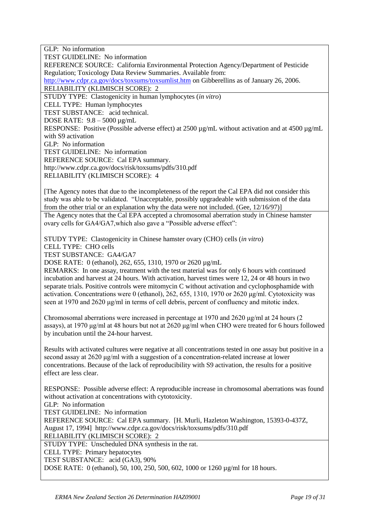GLP: No information TEST GUIDELINE: No information REFERENCE SOURCE: California Environmental Protection Agency/Department of Pesticide Regulation; Toxicology Data Review Summaries. Available from: <http://www.cdpr.ca.gov/docs/toxsums/toxsumlist.htm> on Gibberellins as of January 26, 2006. RELIABILITY (KLIMISCH SCORE): 2 STUDY TYPE: Clastogenicity in human lymphocytes (*in vitro*) CELL TYPE: Human lymphocytes TEST SUBSTANCE: acid technical. DOSE RATE: 9.8 – 5000 µg/mL RESPONSE: Positive (Possible adverse effect) at 2500 µg/mL without activation and at 4500 µg/mL with S9 activation GLP: No information TEST GUIDELINE: No information REFERENCE SOURCE: Cal EPA summary. http://www.cdpr.ca.gov/docs/risk/toxsums/pdfs/310.pdf RELIABILITY (KLIMISCH SCORE): 4 [The Agency notes that due to the incompleteness of the report the Cal EPA did not consider this study was able to be validated. "Unacceptable, possibly upgradeable with submission of the data from the other trial or an explanation why the data were not included. (Gee, 12/16/97)] The Agency notes that the Cal EPA accepted a chromosomal aberration study in Chinese hamster ovary cells for GA4/GA7,which also gave a "Possible adverse effect": STUDY TYPE: Clastogenicity in Chinese hamster ovary (CHO) cells (*in vitro*) CELL TYPE: CHO cells TEST SUBSTANCE: GA4/GA7 DOSE RATE: 0 (ethanol), 262, 655, 1310, 1970 or 2620 µg/mL REMARKS: In one assay, treatment with the test material was for only 6 hours with continued incubation and harvest at 24 hours. With activation, harvest times were 12, 24 or 48 hours in two

separate trials. Positive controls were mitomycin C without activation and cyclophosphamide with activation. Concentrations were 0 (ethanol), 262, 655, 1310, 1970 or 2620 μg/ml. Cytotoxicity was seen at 1970 and 2620 μg/ml in terms of cell debris, percent of confluency and mitotic index.

Chromosomal aberrations were increased in percentage at 1970 and 2620 μg/ml at 24 hours (2 assays), at 1970 μg/ml at 48 hours but not at 2620 μg/ml when CHO were treated for 6 hours followed by incubation until the 24-hour harvest.

Results with activated cultures were negative at all concentrations tested in one assay but positive in a second assay at 2620 μg/ml with a suggestion of a concentration-related increase at lower concentrations. Because of the lack of reproducibility with S9 activation, the results for a positive effect are less clear.

RESPONSE: Possible adverse effect: A reproducible increase in chromosomal aberrations was found without activation at concentrations with cytotoxicity.

GLP: No information

TEST GUIDELINE: No information

REFERENCE SOURCE: Cal EPA summary. [H. Murli, Hazleton Washington, 15393-0-437Z, August 17, 1994] http://www.cdpr.ca.gov/docs/risk/toxsums/pdfs/310.pdf

RELIABILITY (KLIMISCH SCORE): 2

STUDY TYPE: Unscheduled DNA synthesis in the rat.

CELL TYPE: Primary hepatocytes

TEST SUBSTANCE: acid (GA3), 90%

DOSE RATE: 0 (ethanol), 50, 100, 250, 500, 602, 1000 or 1260 µg/ml for 18 hours.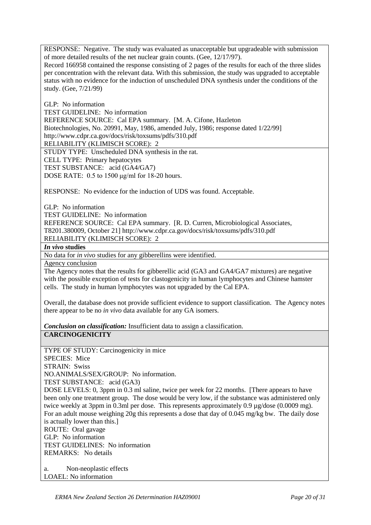RESPONSE: Negative. The study was evaluated as unacceptable but upgradeable with submission of more detailed results of the net nuclear grain counts. (Gee, 12/17/97).

Record 166958 contained the response consisting of 2 pages of the results for each of the three slides per concentration with the relevant data. With this submission, the study was upgraded to acceptable status with no evidence for the induction of unscheduled DNA synthesis under the conditions of the study. (Gee, 7/21/99)

GLP: No information TEST GUIDELINE: No information REFERENCE SOURCE: Cal EPA summary. [M. A. Cifone, Hazleton Biotechnologies, No. 20991, May, 1986, amended July, 1986; response dated 1/22/99] http://www.cdpr.ca.gov/docs/risk/toxsums/pdfs/310.pdf RELIABILITY (KLIMISCH SCORE): 2 STUDY TYPE: Unscheduled DNA synthesis in the rat. CELL TYPE: Primary hepatocytes

TEST SUBSTANCE: acid (GA4/GA7)

DOSE RATE: 0.5 to 1500 μg/ml for 18-20 hours.

RESPONSE: No evidence for the induction of UDS was found. Acceptable.

GLP: No information TEST GUIDELINE: No information REFERENCE SOURCE: Cal EPA summary. [R. D. Curren, Microbiological Associates, T8201.380009, October 21] http://www.cdpr.ca.gov/docs/risk/toxsums/pdfs/310.pdf RELIABILITY (KLIMISCH SCORE): 2

*In vivo* **studies**

No data for *in vivo* studies for any gibberellins were identified.

Agency conclusion

The Agency notes that the results for gibberellic acid (GA3 and GA4/GA7 mixtures) are negative with the possible exception of tests for clastogenicity in human lymphocytes and Chinese hamster cells. The study in human lymphocytes was not upgraded by the Cal EPA.

Overall, the database does not provide sufficient evidence to support classification. The Agency notes there appear to be no *in vivo* data available for any GA isomers.

*Conclusion on classification:* Insufficient data to assign a classification. **CARCINOGENICITY**

TYPE OF STUDY: Carcinogenicity in mice SPECIES: Mice STRAIN: Swiss NO.ANIMALS/SEX/GROUP: No information. TEST SUBSTANCE: acid (GA3) DOSE LEVELS: 0, 3ppm in 0.3 ml saline, twice per week for 22 months. [There appears to have been only one treatment group. The dose would be very low, if the substance was administered only twice weekly at 3ppm in 0.3ml per dose. This represents approximately 0.9 µg/dose (0.0009 mg). For an adult mouse weighing 20g this represents a dose that day of 0.045 mg/kg bw. The daily dose is actually lower than this.] ROUTE: Oral gavage GLP: No information TEST GUIDELINES: No information REMARKS: No details

a. Non-neoplastic effects LOAEL: No information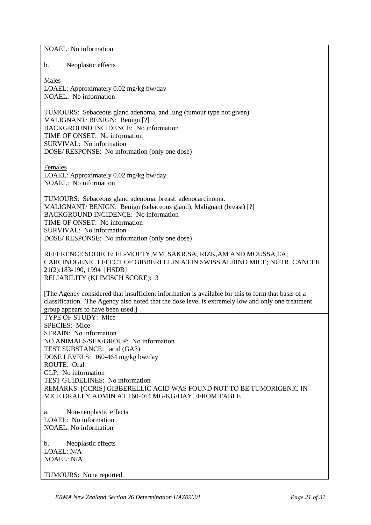NOAEL: No information b. Neoplastic effects Males LOAEL: Approximately 0.02 mg/kg bw/day NOAEL: No information TUMOURS: Sebaceous gland adenoma, and lung (tumour type not given) MALIGNANT/ BENIGN: Benign [?] BACKGROUND INCIDENCE: No information TIME OF ONSET: No information SURVIVAL: No information DOSE/ RESPONSE: No information (only one dose) Females LOAEL: Approximately 0.02 mg/kg bw/day NOAEL: No information TUMOURS: Sebaceous gland adenoma, breast: adenocarcinoma. MALIGNANT/ BENIGN: Benign (sebaceous gland), Malignant (breast) [?] BACKGROUND INCIDENCE: No information TIME OF ONSET: No information SURVIVAL: No information DOSE/ RESPONSE: No information (only one dose) REFERENCE SOURCE: EL-MOFTY, MM, SAKR, SA, RIZK, AM AND MOUSSA, EA; CARCINOGENIC EFFECT OF GIBBERELLIN A3 IN SWISS ALBINO MICE; NUTR. CANCER 21(2):183-190, 1994 [HSDB] RELIABILITY (KLIMISCH SCORE): 3 [The Agency considered that insufficient information is available for this to form that basis of a classification. The Agency also noted that the dose level is extremely low and only one treatment group appears to have been used.] TYPE OF STUDY: Mice SPECIES: Mice STRAIN: No information NO.ANIMALS/SEX/GROUP: No information TEST SUBSTANCE: acid (GA3) DOSE LEVELS: 160-464 mg/kg bw/day ROUTE: Oral GLP: No information TEST GUIDELINES: No information REMARKS: [CCRIS] GIBBERELLIC ACID WAS FOUND NOT TO BE TUMORIGENIC IN MICE ORALLY ADMIN AT 160-464 MG/KG/DAY. /FROM TABLE a. Non-neoplastic effects LOAEL: No information NOAEL: No information b. Neoplastic effects LOAEL: N/A  $NOAFI : N/A$ 

TUMOURS: None reported.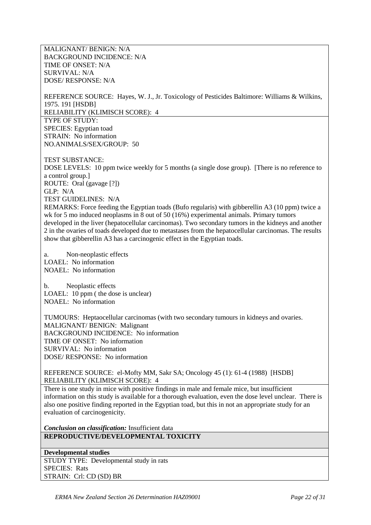MALIGNANT/ BENIGN: N/A BACKGROUND INCIDENCE: N/A TIME OF ONSET: N/A SURVIVAL: N/A DOSE/ RESPONSE: N/A

REFERENCE SOURCE: Hayes, W. J., Jr. Toxicology of Pesticides Baltimore: Williams & Wilkins, 1975. 191 [HSDB] RELIABILITY (KLIMISCH SCORE): 4 TYPE OF STUDY: SPECIES: Egyptian toad STRAIN: No information NO.ANIMALS/SEX/GROUP: 50

TEST SUBSTANCE: DOSE LEVELS: 10 ppm twice weekly for 5 months (a single dose group). [There is no reference to a control group.] ROUTE: Oral (gavage [?]) GLP: N/A TEST GUIDELINES: N/A REMARKS: Force feeding the Egyptian toads (Bufo regularis) with gibberellin A3 (10 ppm) twice a

wk for 5 mo induced neoplasms in 8 out of 50 (16%) experimental animals. Primary tumors developed in the liver (hepatocellular carcinomas). Two secondary tumors in the kidneys and another 2 in the ovaries of toads developed due to metastases from the hepatocellular carcinomas. The results show that gibberellin A3 has a carcinogenic effect in the Egyptian toads.

a. Non-neoplastic effects LOAEL: No information NOAEL: No information

b. Neoplastic effects LOAEL: 10 ppm (the dose is unclear) NOAEL: No information

TUMOURS: Heptaocellular carcinomas (with two secondary tumours in kidneys and ovaries. MALIGNANT/ BENIGN: Malignant BACKGROUND INCIDENCE: No information TIME OF ONSET: No information SURVIVAL: No information DOSE/ RESPONSE: No information

REFERENCE SOURCE: el-Mofty MM, Sakr SA; Oncology 45 (1): 61-4 (1988) [HSDB] RELIABILITY (KLIMISCH SCORE): 4

There is one study in mice with positive findings in male and female mice, but insufficient information on this study is available for a thorough evaluation, even the dose level unclear. There is also one positive finding reported in the Egyptian toad, but this in not an appropriate study for an evaluation of carcinogenicity.

*Conclusion on classification:* Insufficient data **REPRODUCTIVE/DEVELOPMENTAL TOXICITY**

**Developmental studies** STUDY TYPE: Developmental study in rats SPECIES: Rats STRAIN: Crl: CD (SD) BR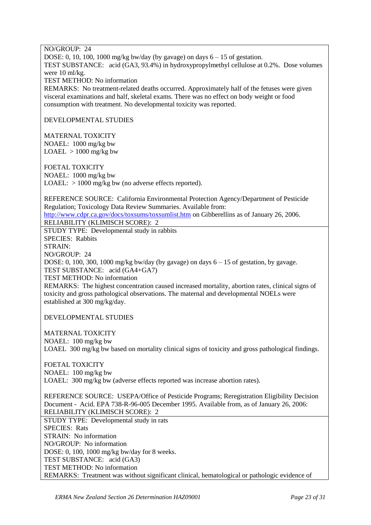NO/GROUP: 24 DOSE: 0, 10, 100, 1000 mg/kg bw/day (by gavage) on days  $6 - 15$  of gestation. TEST SUBSTANCE: acid (GA3, 93.4%) in hydroxypropylmethyl cellulose at 0.2%. Dose volumes were 10 ml/kg. TEST METHOD: No information REMARKS: No treatment-related deaths occurred. Approximately half of the fetuses were given visceral examinations and half, skeletal exams. There was no effect on body weight or food consumption with treatment. No developmental toxicity was reported.

DEVELOPMENTAL STUDIES

MATERNAL TOXICITY NOAEL: 1000 mg/kg bw  $LOAEL > 1000$  mg/kg bw

FOETAL TOXICITY NOAEL: 1000 mg/kg bw LOAEL:  $> 1000$  mg/kg bw (no adverse effects reported).

REFERENCE SOURCE: California Environmental Protection Agency/Department of Pesticide Regulation; Toxicology Data Review Summaries. Available from: <http://www.cdpr.ca.gov/docs/toxsums/toxsumlist.htm> on Gibberellins as of January 26, 2006.

RELIABILITY (KLIMISCH SCORE): 2

STUDY TYPE: Developmental study in rabbits SPECIES: Rabbits STRAIN: NO/GROUP: 24 DOSE: 0, 100, 300, 1000 mg/kg bw/day (by gavage) on days 6 – 15 of gestation, by gavage. TEST SUBSTANCE: acid (GA4+GA7) TEST METHOD: No information REMARKS: The highest concentration caused increased mortality, abortion rates, clinical signs of toxicity and gross pathological observations. The maternal and developmental NOELs were established at 300 mg/kg/day.

DEVELOPMENTAL STUDIES

MATERNAL TOXICITY NOAEL: 100 mg/kg bw LOAEL 300 mg/kg bw based on mortality clinical signs of toxicity and gross pathological findings.

FOETAL TOXICITY NOAEL: 100 mg/kg bw LOAEL: 300 mg/kg bw (adverse effects reported was increase abortion rates).

REFERENCE SOURCE: USEPA/Office of Pesticide Programs; Reregistration Eligibility Decision Document - Acid. EPA 738-R-96-005 December 1995. Available from, as of January 26, 2006: RELIABILITY (KLIMISCH SCORE): 2

STUDY TYPE: Developmental study in rats SPECIES: Rats STRAIN: No information NO/GROUP: No information DOSE: 0, 100, 1000 mg/kg bw/day for 8 weeks. TEST SUBSTANCE: acid (GA3) TEST METHOD: No information REMARKS: Treatment was without significant clinical, hematological or pathologic evidence of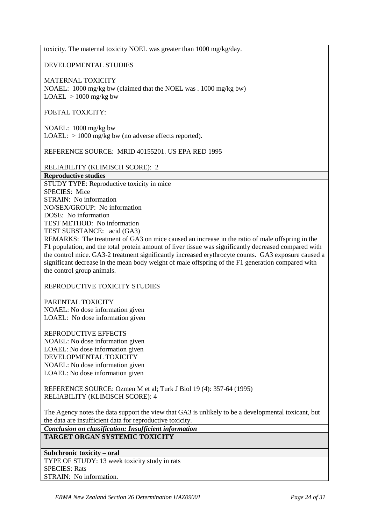toxicity. The maternal toxicity NOEL was greater than 1000 mg/kg/day.

DEVELOPMENTAL STUDIES

MATERNAL TOXICITY

NOAEL: 1000 mg/kg bw (claimed that the NOEL was . 1000 mg/kg bw)  $LOAEL > 1000$  mg/kg bw

FOETAL TOXICITY:

NOAEL: 1000 mg/kg bw LOAEL:  $> 1000$  mg/kg bw (no adverse effects reported).

REFERENCE SOURCE: MRID 40155201. US EPA RED 1995

RELIABILITY (KLIMISCH SCORE): 2

**Reproductive studies** STUDY TYPE: Reproductive toxicity in mice SPECIES: Mice STRAIN: No information NO/SEX/GROUP: No information DOSE: No information TEST METHOD: No information TEST SUBSTANCE: acid (GA3)

REMARKS: The treatment of GA3 on mice caused an increase in the ratio of male offspring in the F1 population, and the total protein amount of liver tissue was significantly decreased compared with the control mice. GA3-2 treatment significantly increased erythrocyte counts. GA3 exposure caused a significant decrease in the mean body weight of male offspring of the F1 generation compared with the control group animals.

REPRODUCTIVE TOXICITY STUDIES

PARENTAL TOXICITY NOAEL: No dose information given LOAEL: No dose information given

REPRODUCTIVE EFFECTS NOAEL: No dose information given LOAEL: No dose information given DEVELOPMENTAL TOXICITY NOAEL: No dose information given LOAEL: No dose information given

REFERENCE SOURCE: Ozmen M et al; Turk J Biol 19 (4): 357-64 (1995) RELIABILITY (KLIMISCH SCORE): 4

The Agency notes the data support the view that GA3 is unlikely to be a developmental toxicant, but the data are insufficient data for reproductive toxicity.

*Conclusion on classification: Insufficient information* **TARGET ORGAN SYSTEMIC TOXICITY**

**Subchronic toxicity – oral** TYPE OF STUDY: 13 week toxicity study in rats SPECIES: Rats STRAIN: No information.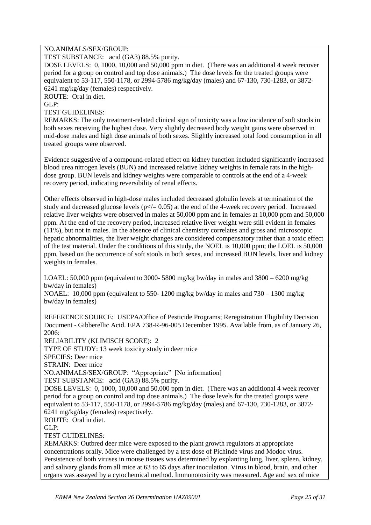#### NO.ANIMALS/SEX/GROUP:

TEST SUBSTANCE: acid (GA3) 88.5% purity.

DOSE LEVELS: 0, 1000, 10,000 and 50,000 ppm in diet. (There was an additional 4 week recover period for a group on control and top dose animals.) The dose levels for the treated groups were equivalent to 53-117, 550-1178, or 2994-5786 mg/kg/day (males) and 67-130, 730-1283, or 3872- 6241 mg/kg/day (females) respectively.

ROUTE: Oral in diet.

 $GLP$ 

TEST GUIDELINES:

REMARKS: The only treatment-related clinical sign of toxicity was a low incidence of soft stools in both sexes receiving the highest dose. Very slightly decreased body weight gains were observed in mid-dose males and high dose animals of both sexes. Slightly increased total food consumption in all treated groups were observed.

Evidence suggestive of a compound-related effect on kidney function included significantly increased blood urea nitrogen levels (BUN) and increased relative kidney weights in female rats in the highdose group. BUN levels and kidney weights were comparable to controls at the end of a 4-week recovery period, indicating reversibility of renal effects.

Other effects observed in high-dose males included decreased globulin levels at termination of the study and decreased glucose levels ( $p\ll 0.05$ ) at the end of the 4-week recovery period. Increased relative liver weights were observed in males at 50,000 ppm and in females at 10,000 ppm and 50,000 ppm. At the end of the recovery period, increased relative liver weight were still evident in females (11%), but not in males. In the absence of clinical chemistry correlates and gross and microscopic hepatic abnormalities, the liver weight changes are considered compensatory rather than a toxic effect of the test material. Under the conditions of this study, the NOEL is 10,000 ppm; the LOEL is 50,000 ppm, based on the occurrence of soft stools in both sexes, and increased BUN levels, liver and kidney weights in females.

LOAEL: 50,000 ppm (equivalent to 3000- 5800 mg/kg bw/day in males and  $3800 - 6200$  mg/kg bw/day in females)

NOAEL: 10,000 ppm (equivalent to 550- 1200 mg/kg bw/day in males and  $730 - 1300$  mg/kg bw/day in females)

REFERENCE SOURCE: USEPA/Office of Pesticide Programs; Reregistration Eligibility Decision Document - Gibberellic Acid. EPA 738-R-96-005 December 1995. Available from, as of January 26, 2006:

RELIABILITY (KLIMISCH SCORE): 2

TYPE OF STUDY: 13 week toxicity study in deer mice SPECIES: Deer mice STRAIN: Deer mice NO.ANIMALS/SEX/GROUP: "Appropriate" [No information] TEST SUBSTANCE: acid (GA3) 88.5% purity. DOSE LEVELS: 0, 1000, 10,000 and 50,000 ppm in diet. (There was an additional 4 week recover period for a group on control and top dose animals.) The dose levels for the treated groups were equivalent to 53-117, 550-1178, or 2994-5786 mg/kg/day (males) and 67-130, 730-1283, or 3872- 6241 mg/kg/day (females) respectively. ROUTE: Oral in diet.  $GLP$ TEST GUIDELINES: REMARKS: Outbred deer mice were exposed to the plant growth regulators at appropriate concentrations orally. Mice were challenged by a test dose of Pichinde virus and Modoc virus. Persistence of both viruses in mouse tissues was determined by explanting lung, liver, spleen, kidney,

and salivary glands from all mice at 63 to 65 days after inoculation. Virus in blood, brain, and other organs was assayed by a cytochemical method. Immunotoxicity was measured. Age and sex of mice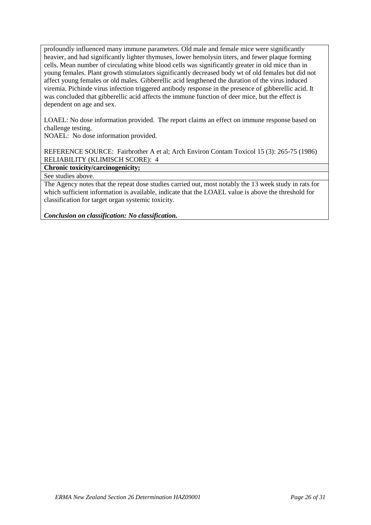profoundly influenced many immune parameters. Old male and female mice were significantly heavier, and had significantly lighter thymuses, lower hemolysin titers, and fewer plaque forming cells. Mean number of circulating white blood cells was significantly greater in old mice than in young females. Plant growth stimulators significantly decreased body wt of old females but did not affect young females or old males. Gibberellic acid lengthened the duration of the virus induced viremia. Pichinde virus infection triggered antibody response in the presence of gibberellic acid. It was concluded that gibberellic acid affects the immune function of deer mice, but the effect is dependent on age and sex.

LOAEL: No dose information provided. The report claims an effect on immune response based on challenge testing.

NOAEL: No dose information provided.

REFERENCE SOURCE: Fairbrother A et al; Arch Environ Contam Toxicol 15 (3): 265-75 (1986) RELIABILITY (KLIMISCH SCORE): 4

**Chronic toxicity/carcinogenicity;**

See studies above.

The Agency notes that the repeat dose studies carried out, most notably the 13 week study in rats for which sufficient information is available, indicate that the LOAEL value is above the threshold for classification for target organ systemic toxicity.

*Conclusion on classification: No classification.*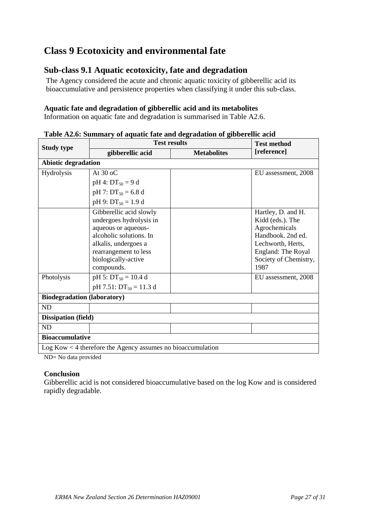# **Class 9 Ecotoxicity and environmental fate**

# **Sub-class 9.1 Aquatic ecotoxicity, fate and degradation**

The Agency considered the acute and chronic aquatic toxicity of gibberellic acid its bioaccumulative and persistence properties when classifying it under this sub-class.

### **Aquatic fate and degradation of gibberellic acid and its metabolites**

Information on aquatic fate and degradation is summarised in Table A2.6.

| <b>Study type</b>                                             | <b>Test results</b>                                                                                                                                                                                                                                      | <b>Test method</b> |                                                                                                                                                                                 |
|---------------------------------------------------------------|----------------------------------------------------------------------------------------------------------------------------------------------------------------------------------------------------------------------------------------------------------|--------------------|---------------------------------------------------------------------------------------------------------------------------------------------------------------------------------|
|                                                               | gibberellic acid                                                                                                                                                                                                                                         | <b>Metabolites</b> | [reference]                                                                                                                                                                     |
| <b>Abiotic degradation</b>                                    |                                                                                                                                                                                                                                                          |                    |                                                                                                                                                                                 |
| Hydrolysis                                                    | At $30$ oC                                                                                                                                                                                                                                               |                    | EU assessment, 2008                                                                                                                                                             |
|                                                               | $pH 4$ : $DT_{50} = 9$ d                                                                                                                                                                                                                                 |                    |                                                                                                                                                                                 |
|                                                               | $pH$ 7: $DT_{50} = 6.8$ d                                                                                                                                                                                                                                |                    |                                                                                                                                                                                 |
|                                                               | $pH 9: DT_{50} = 1.9 d$                                                                                                                                                                                                                                  |                    |                                                                                                                                                                                 |
| Photolysis                                                    | Gibberellic acid slowly<br>undergoes hydrolysis in<br>aqueous or aqueous-<br>alcoholic solutions. In<br>alkalis, undergoes a<br>rearrangement to less<br>biologically-active<br>compounds.<br>pH 5: $DT_{50} = 10.4$ d<br>$pH 7.51$ : $DT_{50} = 11.3$ d |                    | Hartley, D. and H.<br>Kidd (eds.). The<br>Agrochemicals<br>Handbook. 2nd ed.<br>Lechworth, Herts,<br>England: The Royal<br>Society of Chemistry,<br>1987<br>EU assessment, 2008 |
| <b>Biodegradation (laboratory)</b>                            |                                                                                                                                                                                                                                                          |                    |                                                                                                                                                                                 |
| <b>ND</b>                                                     |                                                                                                                                                                                                                                                          |                    |                                                                                                                                                                                 |
| <b>Dissipation (field)</b>                                    |                                                                                                                                                                                                                                                          |                    |                                                                                                                                                                                 |
| ND                                                            |                                                                                                                                                                                                                                                          |                    |                                                                                                                                                                                 |
| <b>Bioaccumulative</b>                                        |                                                                                                                                                                                                                                                          |                    |                                                                                                                                                                                 |
| $Log Kow < 4$ therefore the Agency assumes no bioaccumulation |                                                                                                                                                                                                                                                          |                    |                                                                                                                                                                                 |

### **Table A2.6: Summary of aquatic fate and degradation of gibberellic acid**

ND= No data provided

### **Conclusion**

Gibberellic acid is not considered bioaccumulative based on the log Kow and is considered rapidly degradable.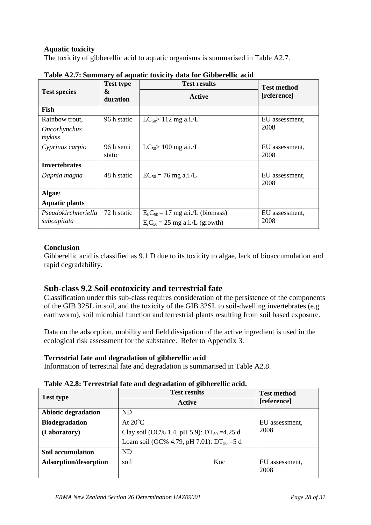### **Aquatic toxicity**

The toxicity of gibberellic acid to aquatic organisms is summarised in Table A2.7.

|                                          | <b>Test type</b>    | <b>Test results</b>                                                      | <b>Test method</b>     |  |
|------------------------------------------|---------------------|--------------------------------------------------------------------------|------------------------|--|
| <b>Test species</b>                      | &<br>duration       | Active                                                                   | [reference]            |  |
| Fish                                     |                     |                                                                          |                        |  |
| Rainbow trout,<br>Oncorhynchus<br>mykiss | 96 h static         | $LC_{50}$ 112 mg a.i./L                                                  | EU assessment,<br>2008 |  |
| Cyprinus carpio                          | 96 h semi<br>static | $LC_{50}$ 100 mg a.i./L                                                  | EU assessment,<br>2008 |  |
| <b>Invertebrates</b>                     |                     |                                                                          |                        |  |
| Dapnia magna                             | 48 h static         | $EC_{50} = 76$ mg a.i./L                                                 | EU assessment,<br>2008 |  |
| Algae/                                   |                     |                                                                          |                        |  |
| <b>Aquatic plants</b>                    |                     |                                                                          |                        |  |
| Pseudokirchneriella<br>subcapitata       | 72 h static         | $E_b C_{50} = 17$ mg a.i./L (biomass)<br>$ErC50 = 25$ mg a.i./L (growth) | EU assessment,<br>2008 |  |

|  |  |  |  |  | Table A2.7: Summary of aquatic toxicity data for Gibberellic acid |
|--|--|--|--|--|-------------------------------------------------------------------|
|--|--|--|--|--|-------------------------------------------------------------------|

### **Conclusion**

Gibberellic acid is classified as 9.1 D due to its toxicity to algae, lack of bioaccumulation and rapid degradability.

# **Sub-class 9.2 Soil ecotoxicity and terrestrial fate**

Classification under this sub-class requires consideration of the persistence of the components of the GIB 32SL in soil, and the toxicity of the GIB 32SL to soil-dwelling invertebrates (e.g. earthworm), soil microbial function and terrestrial plants resulting from soil based exposure.

Data on the adsorption, mobility and field dissipation of the active ingredient is used in the ecological risk assessment for the substance. Refer to Appendix 3.

### **Terrestrial fate and degradation of gibberellic acid**

Information of terrestrial fate and degradation is summarised in Table A2.8.

| <b>Test type</b>             | <b>Test results</b>                             |     | <b>Test method</b><br>[reference] |
|------------------------------|-------------------------------------------------|-----|-----------------------------------|
|                              | Active                                          |     |                                   |
| <b>Abiotic degradation</b>   | ND                                              |     |                                   |
| <b>Biodegradation</b>        | At $20^{\circ}$ C                               |     | EU assessment,                    |
| (Laboratory)                 | Clay soil (OC% 1.4, pH 5.9): $DT_{50} = 4.25$ d |     | 2008                              |
|                              | Loam soil (OC% 4.79, pH 7.01): $DT_{50} = 5 d$  |     |                                   |
| Soil accumulation            | <b>ND</b>                                       |     |                                   |
| <b>Adsorption/desorption</b> | soil                                            | Koc | EU assessment,<br>2008            |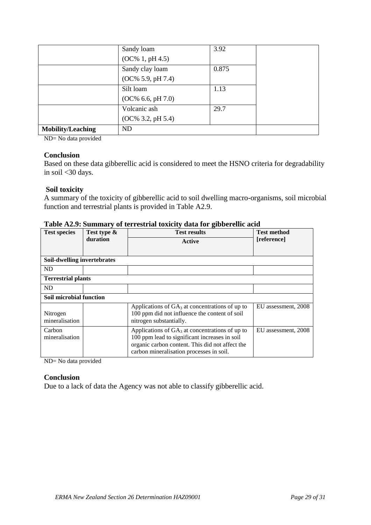|                          | Sandy loam           | 3.92  |  |
|--------------------------|----------------------|-------|--|
|                          | $(OC\% 1, pH 4.5)$   |       |  |
|                          | Sandy clay loam      | 0.875 |  |
|                          | $(OC\% 5.9, pH 7.4)$ |       |  |
|                          | Silt loam            | 1.13  |  |
|                          | $(OC\% 6.6, pH 7.0)$ |       |  |
|                          | Volcanic ash         | 29.7  |  |
|                          | $(OC\% 3.2, pH 5.4)$ |       |  |
| <b>Mobility/Leaching</b> | <b>ND</b>            |       |  |

ND= No data provided

### **Conclusion**

Based on these data gibberellic acid is considered to meet the HSNO criteria for degradability in soil <30 days.

### **Soil toxicity**

A summary of the toxicity of gibberellic acid to soil dwelling macro-organisms, soil microbial function and terrestrial plants is provided in Table A2.9.

| <b>Test species</b>         | Test type &<br>duration | <b>Test results</b><br>Active                                                                                                                                                                     | <b>Test method</b><br>[reference] |
|-----------------------------|-------------------------|---------------------------------------------------------------------------------------------------------------------------------------------------------------------------------------------------|-----------------------------------|
| Soil-dwelling invertebrates |                         |                                                                                                                                                                                                   |                                   |
| ND.                         |                         |                                                                                                                                                                                                   |                                   |
| <b>Terrestrial plants</b>   |                         |                                                                                                                                                                                                   |                                   |
| ND.                         |                         |                                                                                                                                                                                                   |                                   |
| Soil microbial function     |                         |                                                                                                                                                                                                   |                                   |
| Nitrogen<br>mineralisation  |                         | Applications of $GA_3$ at concentrations of up to<br>100 ppm did not influence the content of soil<br>nitrogen substantially.                                                                     | EU assessment, 2008               |
| Carbon<br>mineralisation    |                         | Applications of $GA_3$ at concentrations of up to<br>100 ppm lead to significant increases in soil<br>organic carbon content. This did not affect the<br>carbon mineralisation processes in soil. | EU assessment, 2008               |

### **Table A2.9: Summary of terrestrial toxicity data for gibberellic acid**

ND= No data provided

### **Conclusion**

Due to a lack of data the Agency was not able to classify gibberellic acid.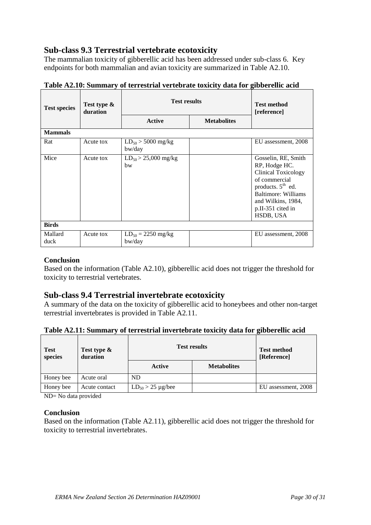# **Sub-class 9.3 Terrestrial vertebrate ecotoxicity**

The mammalian toxicity of gibberellic acid has been addressed under sub-class 6. Key endpoints for both mammalian and avian toxicity are summarized in Table A2.10.

| Test type &<br><b>Test species</b><br>duration |           | <b>Test results</b>              |  | <b>Test method</b><br>[reference]                                                                                                                                                  |
|------------------------------------------------|-----------|----------------------------------|--|------------------------------------------------------------------------------------------------------------------------------------------------------------------------------------|
|                                                | Active    | <b>Metabolites</b>               |  |                                                                                                                                                                                    |
| <b>Mammals</b>                                 |           |                                  |  |                                                                                                                                                                                    |
| Rat                                            | Acute tox | $LD_{50} > 5000$ mg/kg<br>bw/day |  | EU assessment, 2008                                                                                                                                                                |
| Mice                                           | Acute tox | $LD_{50} > 25,000$ mg/kg<br>hw   |  | Gosselin, RE, Smith<br>RP, Hodge HC.<br>Clinical Toxicology<br>of commercial<br>products. $5th$ ed.<br>Baltimore: Williams<br>and Wilkins, 1984,<br>p.II-351 cited in<br>HSDB, USA |
| <b>Birds</b>                                   |           |                                  |  |                                                                                                                                                                                    |
| Mallard<br>duck                                | Acute tox | $LD_{50} = 2250$ mg/kg<br>bw/day |  | EU assessment, 2008                                                                                                                                                                |

**Table A2.10: Summary of terrestrial vertebrate toxicity data for gibberellic acid**

### **Conclusion**

Based on the information (Table A2.10), gibberellic acid does not trigger the threshold for toxicity to terrestrial vertebrates.

### **Sub-class 9.4 Terrestrial invertebrate ecotoxicity**

A summary of the data on the toxicity of gibberellic acid to honeybees and other non-target terrestrial invertebrates is provided in Table A2.11.

| Table A2.11: Summary of terrestrial invertebrate toxicity data for gibberellic acid |  |  |  |  |
|-------------------------------------------------------------------------------------|--|--|--|--|
|-------------------------------------------------------------------------------------|--|--|--|--|

| <b>Test</b><br>species | Test type &<br>duration | <b>Test results</b>      |                    | <b>Test method</b><br>[Reference] |
|------------------------|-------------------------|--------------------------|--------------------|-----------------------------------|
|                        |                         | Active                   | <b>Metabolites</b> |                                   |
| Honey bee              | Acute oral              | ND                       |                    |                                   |
| Honey bee              | Acute contact           | $LD_{50} > 25 \mu g/bee$ |                    | EU assessment, 2008               |

ND= No data provided

### **Conclusion**

Based on the information (Table A2.11), gibberellic acid does not trigger the threshold for toxicity to terrestrial invertebrates.